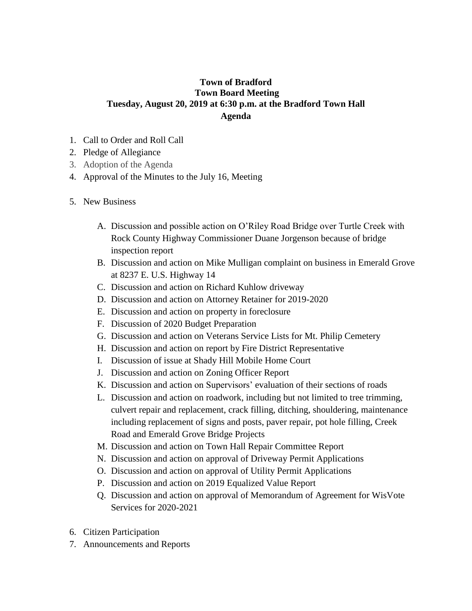## **Town of Bradford Town Board Meeting Tuesday, August 20, 2019 at 6:30 p.m. at the Bradford Town Hall Agenda**

- 1. Call to Order and Roll Call
- 2. Pledge of Allegiance
- 3. Adoption of the Agenda
- 4. Approval of the Minutes to the July 16, Meeting
- 5. New Business
	- A. Discussion and possible action on O'Riley Road Bridge over Turtle Creek with Rock County Highway Commissioner Duane Jorgenson because of bridge inspection report
	- B. Discussion and action on Mike Mulligan complaint on business in Emerald Grove at 8237 E. U.S. Highway 14
	- C. Discussion and action on Richard Kuhlow driveway
	- D. Discussion and action on Attorney Retainer for 2019-2020
	- E. Discussion and action on property in foreclosure
	- F. Discussion of 2020 Budget Preparation
	- G. Discussion and action on Veterans Service Lists for Mt. Philip Cemetery
	- H. Discussion and action on report by Fire District Representative
	- I. Discussion of issue at Shady Hill Mobile Home Court
	- J. Discussion and action on Zoning Officer Report
	- K. Discussion and action on Supervisors' evaluation of their sections of roads
	- L. Discussion and action on roadwork, including but not limited to tree trimming, culvert repair and replacement, crack filling, ditching, shouldering, maintenance including replacement of signs and posts, paver repair, pot hole filling, Creek Road and Emerald Grove Bridge Projects
	- M. Discussion and action on Town Hall Repair Committee Report
	- N. Discussion and action on approval of Driveway Permit Applications
	- O. Discussion and action on approval of Utility Permit Applications
	- P. Discussion and action on 2019 Equalized Value Report
	- Q. Discussion and action on approval of Memorandum of Agreement for WisVote Services for 2020-2021
- 6. Citizen Participation
- 7. Announcements and Reports